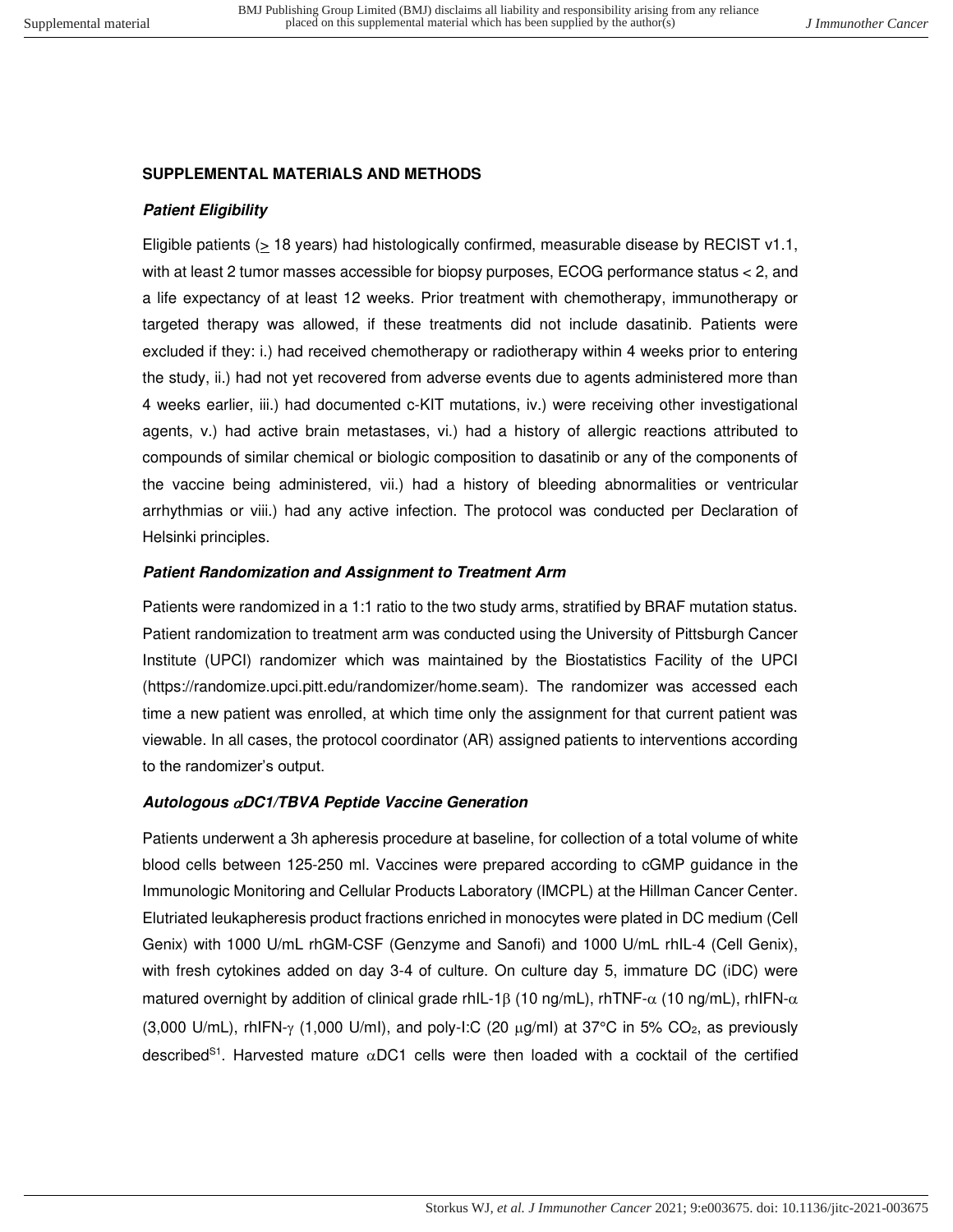# **SUPPLEMENTAL MATERIALS AND METHODS**

# **Patient Eligibility**

Eligible patients ( $\geq$  18 years) had histologically confirmed, measurable disease by RECIST v1.1, with at least 2 tumor masses accessible for biopsy purposes, ECOG performance status < 2, and a life expectancy of at least 12 weeks. Prior treatment with chemotherapy, immunotherapy or targeted therapy was allowed, if these treatments did not include dasatinib. Patients were excluded if they: i.) had received chemotherapy or radiotherapy within 4 weeks prior to entering the study, ii.) had not yet recovered from adverse events due to agents administered more than 4 weeks earlier, iii.) had documented c-KIT mutations, iv.) were receiving other investigational agents, v.) had active brain metastases, vi.) had a history of allergic reactions attributed to compounds of similar chemical or biologic composition to dasatinib or any of the components of the vaccine being administered, vii.) had a history of bleeding abnormalities or ventricular arrhythmias or viii.) had any active infection. The protocol was conducted per Declaration of Helsinki principles.

# **Patient Randomization and Assignment to Treatment Arm**

Patients were randomized in a 1:1 ratio to the two study arms, stratified by BRAF mutation status. Patient randomization to treatment arm was conducted using the University of Pittsburgh Cancer Institute (UPCI) randomizer which was maintained by the Biostatistics Facility of the UPCI (https://randomize.upci.pitt.edu/randomizer/home.seam). The randomizer was accessed each time a new patient was enrolled, at which time only the assignment for that current patient was viewable. In all cases, the protocol coordinator (AR) assigned patients to interventions according to the randomizer's output.

## **Autologous DC1/TBVA Peptide Vaccine Generation**

Patients underwent a 3h apheresis procedure at baseline, for collection of a total volume of white blood cells between 125-250 ml. Vaccines were prepared according to cGMP guidance in the Immunologic Monitoring and Cellular Products Laboratory (IMCPL) at the Hillman Cancer Center. Elutriated leukapheresis product fractions enriched in monocytes were plated in DC medium (Cell Genix) with 1000 U/mL rhGM-CSF (Genzyme and Sanofi) and 1000 U/mL rhIL-4 (Cell Genix), with fresh cytokines added on day 3-4 of culture. On culture day 5, immature DC (iDC) were matured overnight by addition of clinical grade rhIL-1 $\beta$  (10 ng/mL), rhTNF- $\alpha$  (10 ng/mL), rhIFN- $\alpha$ (3,000 U/mL), rhIFN- $\gamma$  (1,000 U/ml), and poly-I:C (20  $\mu$ g/ml) at 37°C in 5% CO<sub>2</sub>, as previously described<sup>S1</sup>. Harvested mature  $\alpha$ DC1 cells were then loaded with a cocktail of the certified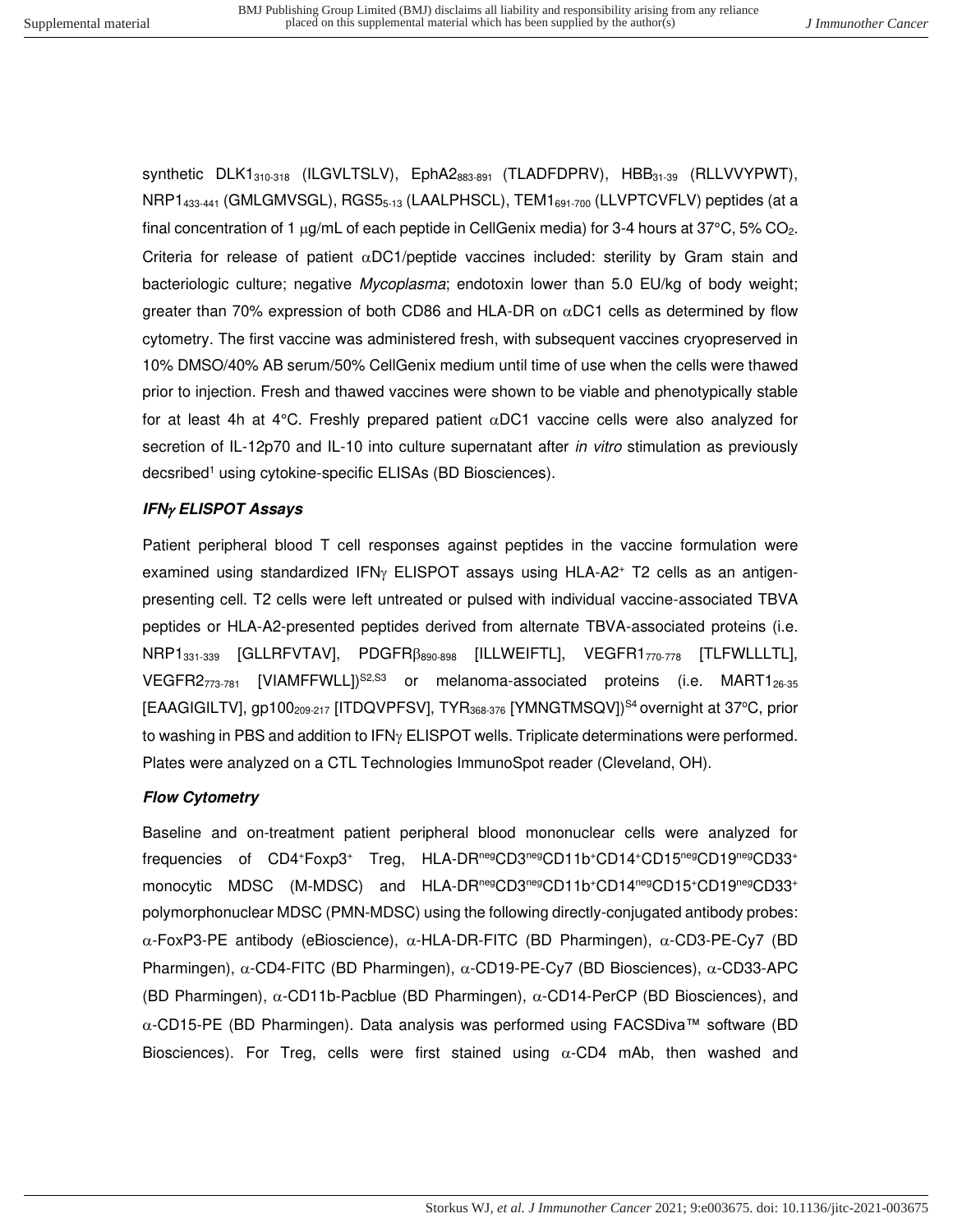synthetic  $DLK1_{310-318}$  (ILGVLTSLV),  $EphA2_{883-891}$  (TLADFDPRV),  $HBB_{31-39}$  (RLLVVYPWT), NRP1<sub>433-441</sub> (GMLGMVSGL), RGS5<sub>5-13</sub> (LAALPHSCL), TEM1<sub>691-700</sub> (LLVPTCVFLV) peptides (at a final concentration of 1  $\mu$ g/mL of each peptide in CellGenix media) for 3-4 hours at 37°C, 5% CO<sub>2</sub>. Criteria for release of patient  $\alpha$ DC1/peptide vaccines included: sterility by Gram stain and bacteriologic culture; negative Mycoplasma; endotoxin lower than 5.0 EU/kg of body weight; greater than 70% expression of both CD86 and HLA-DR on  $\alpha$ DC1 cells as determined by flow cytometry. The first vaccine was administered fresh, with subsequent vaccines cryopreserved in 10% DMSO/40% AB serum/50% CellGenix medium until time of use when the cells were thawed prior to injection. Fresh and thawed vaccines were shown to be viable and phenotypically stable for at least 4h at 4°C. Freshly prepared patient  $\alpha$ DC1 vaccine cells were also analyzed for secretion of IL-12p70 and IL-10 into culture supernatant after *in vitro* stimulation as previously decsribed<sup>1</sup> using cytokine-specific ELISAs (BD Biosciences).

## **IFN ELISPOT Assays**

Patient peripheral blood T cell responses against peptides in the vaccine formulation were examined using standardized IFN $\gamma$  ELISPOT assays using HLA-A2<sup>+</sup> T2 cells as an antigenpresenting cell. T2 cells were left untreated or pulsed with individual vaccine-associated TBVA peptides or HLA-A2-presented peptides derived from alternate TBVA-associated proteins (i.e. NRP1<sub>331-339</sub> [GLLRFVTAV], PDGFR $\beta_{890-898}$  [ILLWEIFTL], VEGFR1<sub>770-778</sub> [TLFWLLLTL], VEGFR2 $_{773-781}$  [VIAMFFWLL] $^{S2, S3}$  or melanoma-associated proteins (i.e. MART1 $_{26-35}$ [EAAGIGILTV], gp100<sub>209-217</sub> [ITDQVPFSV], TYR<sub>368-376</sub> [YMNGTMSQV]<sup>S4</sup> overnight at 37°C, prior to washing in PBS and addition to  $IFN<sub>Y</sub> ELISPOT$  wells. Triplicate determinations were performed. Plates were analyzed on a CTL Technologies ImmunoSpot reader (Cleveland, OH).

### **Flow Cytometry**

Baseline and on-treatment patient peripheral blood mononuclear cells were analyzed for frequencies of CD4<sup>+</sup>Foxp3<sup>+</sup> Treg, HLA-DRnegCD3negCD11b<sup>+</sup>CD14<sup>+</sup>CD15negCD19negCD33<sup>+</sup> monocytic MDSC (M-MDSC) and HLA-DR<sup>neg</sup>CD3<sup>neg</sup>CD11b<sup>+</sup>CD14<sup>neg</sup>CD15<sup>+</sup>CD19<sup>neg</sup>CD33<sup>+</sup> polymorphonuclear MDSC (PMN-MDSC) using the following directly-conjugated antibody probes:  $\alpha$ -FoxP3-PE antibody (eBioscience),  $\alpha$ -HLA-DR-FITC (BD Pharmingen),  $\alpha$ -CD3-PE-Cy7 (BD Pharmingen),  $\alpha$ -CD4-FITC (BD Pharmingen),  $\alpha$ -CD19-PE-Cy7 (BD Biosciences),  $\alpha$ -CD33-APC (BD Pharmingen),  $\alpha$ -CD11b-Pacblue (BD Pharmingen),  $\alpha$ -CD14-PerCP (BD Biosciences), and -CD15-PE (BD Pharmingen). Data analysis was performed using FACSDiva™ software (BD Biosciences). For Treg, cells were first stained using  $\alpha$ -CD4 mAb, then washed and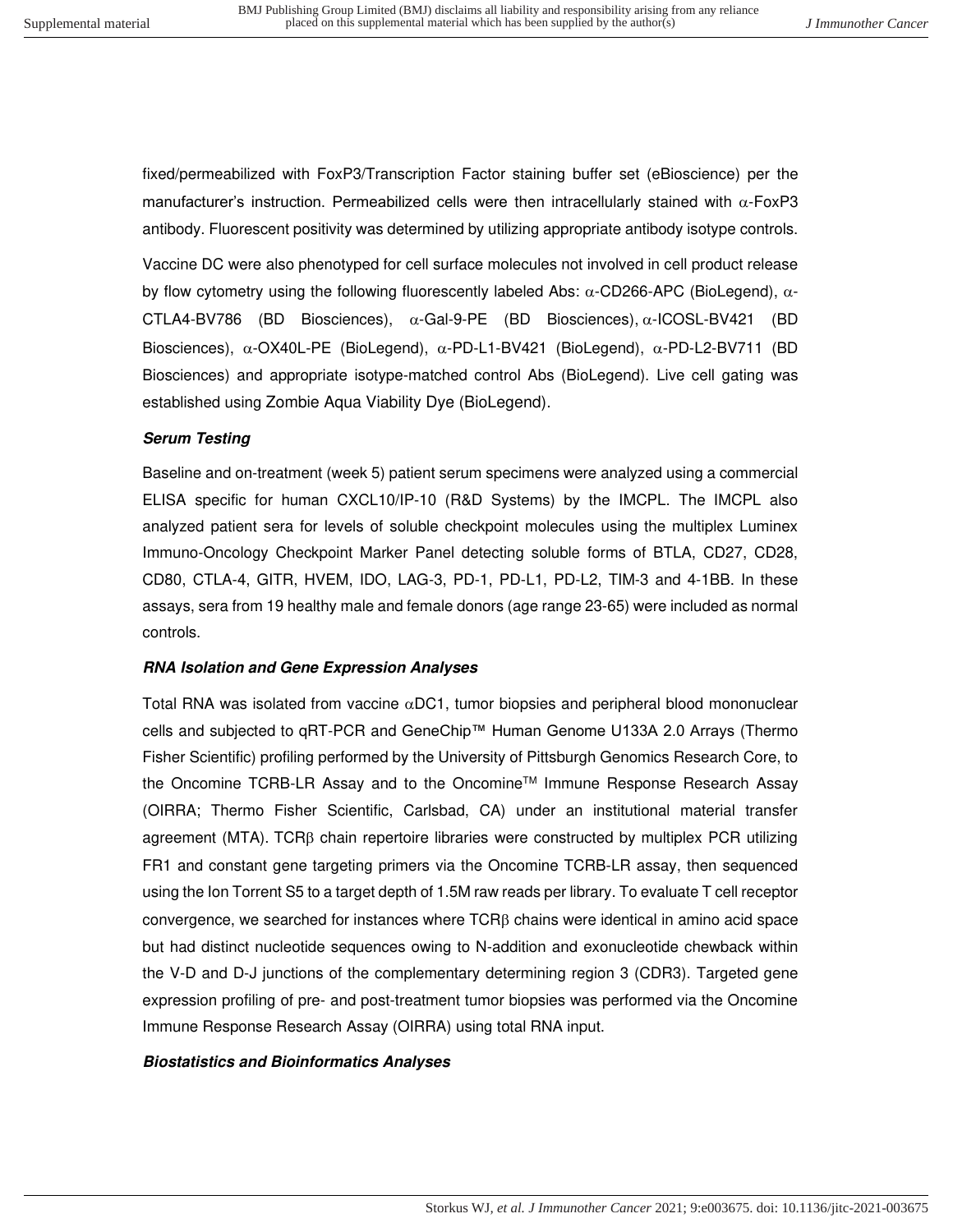fixed/permeabilized with FoxP3/Transcription Factor staining buffer set (eBioscience) per the manufacturer's instruction. Permeabilized cells were then intracellularly stained with  $\alpha$ -FoxP3 antibody. Fluorescent positivity was determined by utilizing appropriate antibody isotype controls.

Vaccine DC were also phenotyped for cell surface molecules not involved in cell product release by flow cytometry using the following fluorescently labeled Abs:  $\alpha$ -CD266-APC (BioLegend),  $\alpha$ -CTLA4-BV786 (BD Biosciences),  $\alpha$ -Gal-9-PE (BD Biosciences),  $\alpha$ -ICOSL-BV421 (BD Biosciences),  $\alpha$ -OX40L-PE (BioLegend),  $\alpha$ -PD-L1-BV421 (BioLegend),  $\alpha$ -PD-L2-BV711 (BD Biosciences) and appropriate isotype-matched control Abs (BioLegend). Live cell gating was established using Zombie Aqua Viability Dye (BioLegend).

### **Serum Testing**

Baseline and on-treatment (week 5) patient serum specimens were analyzed using a commercial ELISA specific for human CXCL10/IP-10 (R&D Systems) by the IMCPL. The IMCPL also analyzed patient sera for levels of soluble checkpoint molecules using the multiplex Luminex Immuno-Oncology Checkpoint Marker Panel detecting soluble forms of BTLA, CD27, CD28, CD80, CTLA-4, GITR, HVEM, IDO, LAG-3, PD-1, PD-L1, PD-L2, TIM-3 and 4-1BB. In these assays, sera from 19 healthy male and female donors (age range 23-65) were included as normal controls.

### **RNA Isolation and Gene Expression Analyses**

Total RNA was isolated from vaccine  $\alpha$ DC1, tumor biopsies and peripheral blood mononuclear cells and subjected to qRT-PCR and GeneChip™ Human Genome U133A 2.0 Arrays (Thermo Fisher Scientific) profiling performed by the University of Pittsburgh Genomics Research Core, to the Oncomine TCRB-LR Assay and to the Oncomine<sup>™</sup> Immune Response Research Assay (OIRRA; Thermo Fisher Scientific, Carlsbad, CA) under an institutional material transfer agreement (MTA). TCR $\beta$  chain repertoire libraries were constructed by multiplex PCR utilizing FR1 and constant gene targeting primers via the Oncomine TCRB-LR assay, then sequenced using the Ion Torrent S5 to a target depth of 1.5M raw reads per library. To evaluate T cell receptor convergence, we searched for instances where  $TCRB$  chains were identical in amino acid space but had distinct nucleotide sequences owing to N-addition and exonucleotide chewback within the V-D and D-J junctions of the complementary determining region 3 (CDR3). Targeted gene expression profiling of pre- and post-treatment tumor biopsies was performed via the Oncomine Immune Response Research Assay (OIRRA) using total RNA input.

### **Biostatistics and Bioinformatics Analyses**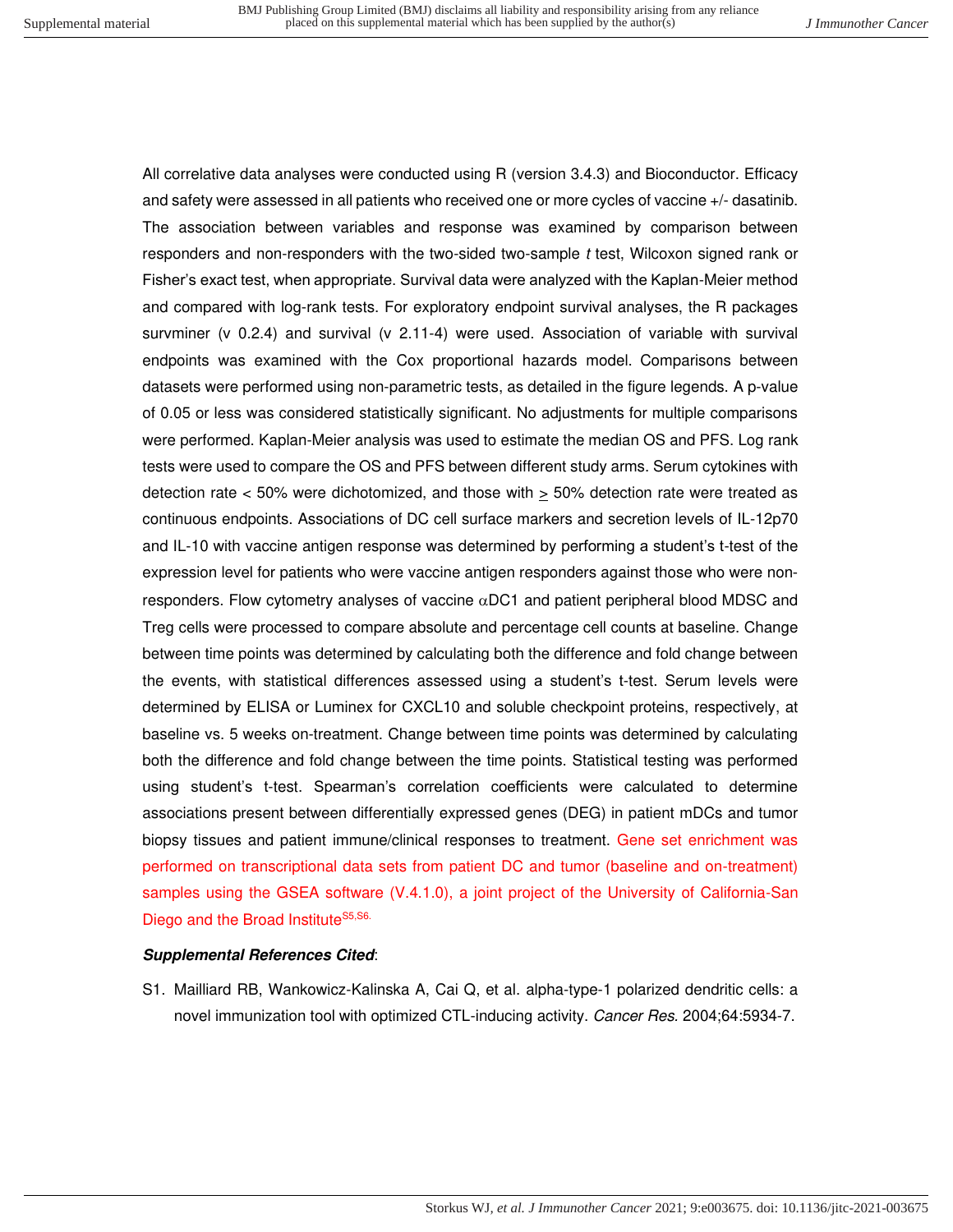All correlative data analyses were conducted using R (version 3.4.3) and Bioconductor. Efficacy and safety were assessed in all patients who received one or more cycles of vaccine +/- dasatinib. The association between variables and response was examined by comparison between responders and non-responders with the two-sided two-sample t test, Wilcoxon signed rank or Fisher's exact test, when appropriate. Survival data were analyzed with the Kaplan-Meier method and compared with log-rank tests. For exploratory endpoint survival analyses, the R packages survminer (v 0.2.4) and survival (v 2.11-4) were used. Association of variable with survival endpoints was examined with the Cox proportional hazards model. Comparisons between datasets were performed using non-parametric tests, as detailed in the figure legends. A p-value of 0.05 or less was considered statistically significant. No adjustments for multiple comparisons were performed. Kaplan-Meier analysis was used to estimate the median OS and PFS. Log rank tests were used to compare the OS and PFS between different study arms. Serum cytokines with detection rate  $<$  50% were dichotomized, and those with  $\geq$  50% detection rate were treated as continuous endpoints. Associations of DC cell surface markers and secretion levels of IL-12p70 and IL-10 with vaccine antigen response was determined by performing a student's t-test of the expression level for patients who were vaccine antigen responders against those who were nonresponders. Flow cytometry analyses of vaccine  $\alpha$ DC1 and patient peripheral blood MDSC and Treg cells were processed to compare absolute and percentage cell counts at baseline. Change between time points was determined by calculating both the difference and fold change between the events, with statistical differences assessed using a student's t-test. Serum levels were determined by ELISA or Luminex for CXCL10 and soluble checkpoint proteins, respectively, at baseline vs. 5 weeks on-treatment. Change between time points was determined by calculating both the difference and fold change between the time points. Statistical testing was performed using student's t-test. Spearman's correlation coefficients were calculated to determine associations present between differentially expressed genes (DEG) in patient mDCs and tumor biopsy tissues and patient immune/clinical responses to treatment. Gene set enrichment was performed on transcriptional data sets from patient DC and tumor (baseline and on-treatment) samples using the GSEA software (V.4.1.0), a joint project of the University of California-San Diego and the Broad Institute<sup>S5,S6.</sup>

### **Supplemental References Cited**:

S1. Mailliard RB, Wankowicz-Kalinska A, Cai Q, et al. alpha-type-1 polarized dendritic cells: a novel immunization tool with optimized CTL-inducing activity. Cancer Res. 2004;64:5934-7.